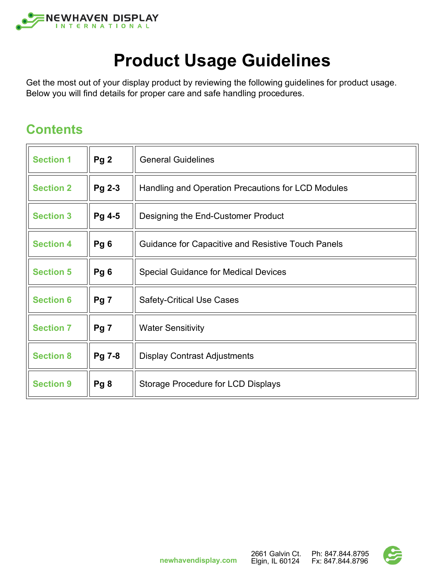

# **Product Usage Guidelines**

Get the most out of your display product by reviewing the following guidelines for product usage. Below you will find details for proper care and safe handling procedures.

#### **Contents**

| <b>Section 1</b> | Pg <sub>2</sub> | <b>General Guidelines</b>                                 |
|------------------|-----------------|-----------------------------------------------------------|
| <b>Section 2</b> | Pg 2-3          | Handling and Operation Precautions for LCD Modules        |
| <b>Section 3</b> | Pg 4-5          | Designing the End-Customer Product                        |
| <b>Section 4</b> | Pg <sub>6</sub> | <b>Guidance for Capacitive and Resistive Touch Panels</b> |
| <b>Section 5</b> | Pg <sub>6</sub> | <b>Special Guidance for Medical Devices</b>               |
| <b>Section 6</b> | Pg <sub>7</sub> | <b>Safety-Critical Use Cases</b>                          |
| <b>Section 7</b> | Pg <sub>7</sub> | <b>Water Sensitivity</b>                                  |
| <b>Section 8</b> | Pg 7-8          | <b>Display Contrast Adjustments</b>                       |
| <b>Section 9</b> | Pg8             | Storage Procedure for LCD Displays                        |

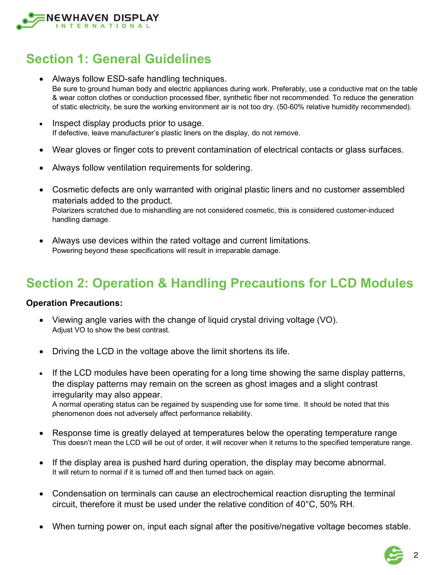

### **Section 1: General Guidelines**

- Always follow ESD-safe handling techniques. Be sure to ground human body and electric appliances during work. Preferably, use a conductive mat on the table & wear cotton clothes or conduction processed fiber, synthetic fiber not recommended. To reduce the generation of static electricity, be sure the working environment air is not too dry. (50‐60% relative humidity recommended).
- Inspect display products prior to usage. If defective, leave manufacturer's plastic liners on the display, do not remove.
- Wear gloves or finger cots to prevent contamination of electrical contacts or glass surfaces.
- Always follow ventilation requirements for soldering.
- Cosmetic defects are only warranted with original plastic liners and no customer assembled materials added to the product. Polarizers scratched due to mishandling are not considered cosmetic, this is considered customer-induced handling damage.
- Always use devices within the rated voltage and current limitations. Powering beyond these specifications will result in irreparable damage.

## **Section 2: Operation & Handling Precautions for LCD Modules**

#### **Operation Precautions:**

- Viewing angle varies with the change of liquid crystal driving voltage (VO). Adjust VO to show the best contrast.
- Driving the LCD in the voltage above the limit shortens its life.
- If the LCD modules have been operating for a long time showing the same display patterns, the display patterns may remain on the screen as ghost images and a slight contrast irregularity may also appear.

A normal operating status can be regained by suspending use for some time. It should be noted that this phenomenon does not adversely affect performance reliability.

- Response time is greatly delayed at temperatures below the operating temperature range This doesn't mean the LCD will be out of order, it will recover when it returns to the specified temperature range.
- If the display area is pushed hard during operation, the display may become abnormal. It will return to normal if it is turned off and then turned back on again.
- Condensation on terminals can cause an electrochemical reaction disrupting the terminal circuit, therefore it must be used under the relative condition of 40°C, 50% RH.
- When turning power on, input each signal after the positive/negative voltage becomes stable.

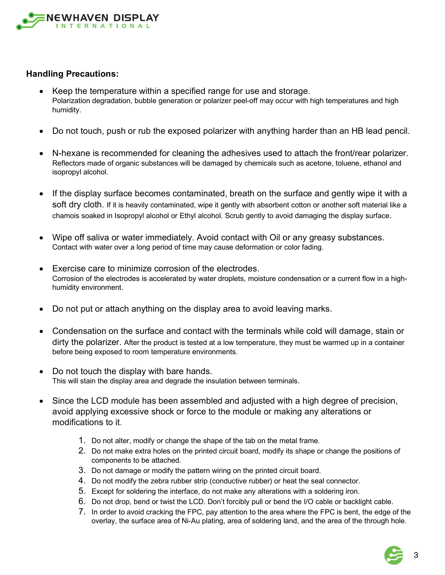

#### **Handling Precautions:**

- Keep the temperature within a specified range for use and storage. Polarization degradation, bubble generation or polarizer peel-off may occur with high temperatures and high humidity.
- Do not touch, push or rub the exposed polarizer with anything harder than an HB lead pencil.
- N-hexane is recommended for cleaning the adhesives used to attach the front/rear polarizer. Reflectors made of organic substances will be damaged by chemicals such as acetone, toluene, ethanol and isopropyl alcohol.
- If the display surface becomes contaminated, breath on the surface and gently wipe it with a soft dry cloth. If it is heavily contaminated, wipe it gently with absorbent cotton or another soft material like a chamois soaked in Isopropyl alcohol or Ethyl alcohol. Scrub gently to avoid damaging the display surface.
- Wipe off saliva or water immediately. Avoid contact with Oil or any greasy substances. Contact with water over a long period of time may cause deformation or color fading.
- Exercise care to minimize corrosion of the electrodes. Corrosion of the electrodes is accelerated by water droplets, moisture condensation or a current flow in a highhumidity environment.
- Do not put or attach anything on the display area to avoid leaving marks.
- Condensation on the surface and contact with the terminals while cold will damage, stain or dirty the polarizer. After the product is tested at a low temperature, they must be warmed up in a container before being exposed to room temperature environments.
- Do not touch the display with bare hands. This will stain the display area and degrade the insulation between terminals.
- Since the LCD module has been assembled and adjusted with a high degree of precision, avoid applying excessive shock or force to the module or making any alterations or modifications to it.
	- 1. Do not alter, modify or change the shape of the tab on the metal frame.
	- 2. Do not make extra holes on the printed circuit board, modify its shape or change the positions of components to be attached.
	- 3. Do not damage or modify the pattern wiring on the printed circuit board.
	- 4. Do not modify the zebra rubber strip (conductive rubber) or heat the seal connector.
	- 5. Except for soldering the interface, do not make any alterations with a soldering iron.
	- 6. Do not drop, bend or twist the LCD. Don't forcibly pull or bend the I/O cable or backlight cable.
	- 7. In order to avoid cracking the FPC, pay attention to the area where the FPC is bent, the edge of the overlay, the surface area of Ni-Au plating, area of soldering land, and the area of the through hole.

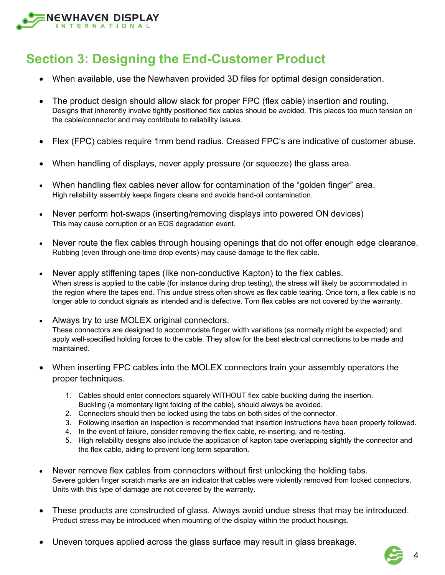

### **Section 3: Designing the End-Customer Product**

- When available, use the Newhaven provided 3D files for optimal design consideration.
- The product design should allow slack for proper FPC (flex cable) insertion and routing. Designs that inherently involve tightly positioned flex cables should be avoided. This places too much tension on the cable/connector and may contribute to reliability issues.
- Flex (FPC) cables require 1mm bend radius. Creased FPC's are indicative of customer abuse.
- When handling of displays, never apply pressure (or squeeze) the glass area.
- When handling flex cables never allow for contamination of the "golden finger" area. High reliability assembly keeps fingers cleans and avoids hand-oil contamination.
- Never perform hot-swaps (inserting/removing displays into powered ON devices) This may cause corruption or an EOS degradation event.
- Never route the flex cables through housing openings that do not offer enough edge clearance. Rubbing (even through one-time drop events) may cause damage to the flex cable.
- Never apply stiffening tapes (like non-conductive Kapton) to the flex cables. When stress is applied to the cable (for instance during drop testing), the stress will likely be accommodated in the region where the tapes end. This undue stress often shows as flex cable tearing. Once torn, a flex cable is no longer able to conduct signals as intended and is defective. Torn flex cables are not covered by the warranty.
- Always try to use MOLEX original connectors. These connectors are designed to accommodate finger width variations (as normally might be expected) and apply well-specified holding forces to the cable. They allow for the best electrical connections to be made and maintained.
- When inserting FPC cables into the MOLEX connectors train your assembly operators the proper techniques.
	- 1. Cables should enter connectors squarely WITHOUT flex cable buckling during the insertion. Buckling (a momentary light folding of the cable), should always be avoided.
	- 2. Connectors should then be locked using the tabs on both sides of the connector.
	- 3. Following insertion an inspection is recommended that insertion instructions have been properly followed.
	- 4. In the event of failure, consider removing the flex cable, re-inserting, and re-testing.
	- 5. High reliability designs also include the application of kapton tape overlapping slightly the connector and the flex cable, aiding to prevent long term separation.
- Never remove flex cables from connectors without first unlocking the holding tabs. Severe golden finger scratch marks are an indicator that cables were violently removed from locked connectors. Units with this type of damage are not covered by the warranty.
- These products are constructed of glass. Always avoid undue stress that may be introduced. Product stress may be introduced when mounting of the display within the product housings.
- Uneven torques applied across the glass surface may result in glass breakage.



4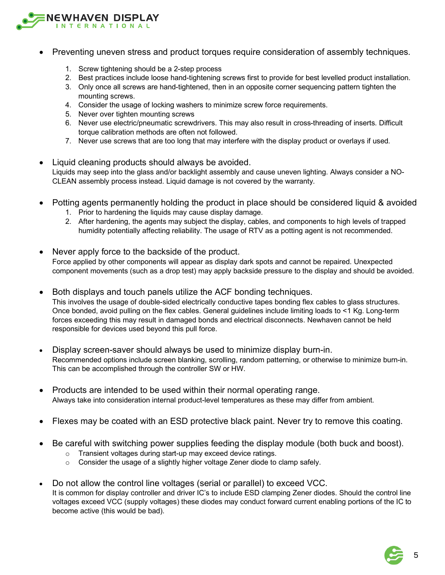

- Preventing uneven stress and product torques require consideration of assembly techniques.
	- 1. Screw tightening should be a 2-step process
	- 2. Best practices include loose hand-tightening screws first to provide for best levelled product installation.
	- 3. Only once all screws are hand-tightened, then in an opposite corner sequencing pattern tighten the mounting screws.
	- 4. Consider the usage of locking washers to minimize screw force requirements.
	- 5. Never over tighten mounting screws
	- 6. Never use electric/pneumatic screwdrivers. This may also result in cross-threading of inserts. Difficult torque calibration methods are often not followed.
	- 7. Never use screws that are too long that may interfere with the display product or overlays if used.
- Liquid cleaning products should always be avoided. Liquids may seep into the glass and/or backlight assembly and cause uneven lighting. Always consider a NO-CLEAN assembly process instead. Liquid damage is not covered by the warranty.
- Potting agents permanently holding the product in place should be considered liquid & avoided
	- 1. Prior to hardening the liquids may cause display damage.
	- 2. After hardening, the agents may subject the display, cables, and components to high levels of trapped humidity potentially affecting reliability. The usage of RTV as a potting agent is not recommended.
- Never apply force to the backside of the product. Force applied by other components will appear as display dark spots and cannot be repaired. Unexpected component movements (such as a drop test) may apply backside pressure to the display and should be avoided.
- Both displays and touch panels utilize the ACF bonding techniques. This involves the usage of double-sided electrically conductive tapes bonding flex cables to glass structures. Once bonded, avoid pulling on the flex cables. General guidelines include limiting loads to <1 Kg. Long-term forces exceeding this may result in damaged bonds and electrical disconnects. Newhaven cannot be held responsible for devices used beyond this pull force.
- Display screen-saver should always be used to minimize display burn-in. Recommended options include screen blanking, scrolling, random patterning, or otherwise to minimize burn-in. This can be accomplished through the controller SW or HW.
- Products are intended to be used within their normal operating range. Always take into consideration internal product-level temperatures as these may differ from ambient.
- Flexes may be coated with an ESD protective black paint. Never try to remove this coating.
- Be careful with switching power supplies feeding the display module (both buck and boost).
	- o Transient voltages during start-up may exceed device ratings.
	- $\circ$  Consider the usage of a slightly higher voltage Zener diode to clamp safely.
- Do not allow the control line voltages (serial or parallel) to exceed VCC. It is common for display controller and driver IC's to include ESD clamping Zener diodes. Should the control line voltages exceed VCC (supply voltages) these diodes may conduct forward current enabling portions of the IC to become active (this would be bad).

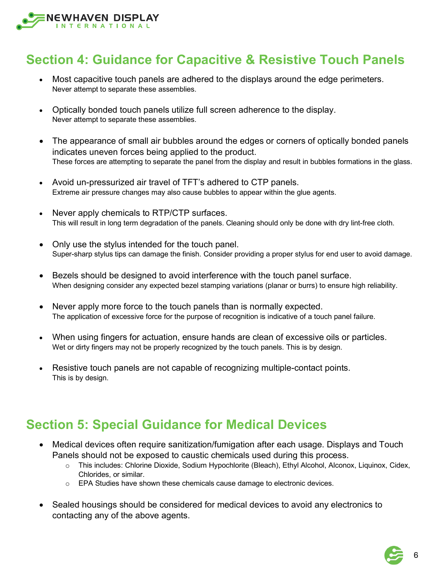

#### **Section 4: Guidance for Capacitive & Resistive Touch Panels**

- Most capacitive touch panels are adhered to the displays around the edge perimeters. Never attempt to separate these assemblies.
- Optically bonded touch panels utilize full screen adherence to the display. Never attempt to separate these assemblies.
- The appearance of small air bubbles around the edges or corners of optically bonded panels indicates uneven forces being applied to the product. These forces are attempting to separate the panel from the display and result in bubbles formations in the glass.
- Avoid un-pressurized air travel of TFT's adhered to CTP panels. Extreme air pressure changes may also cause bubbles to appear within the glue agents.
- Never apply chemicals to RTP/CTP surfaces. This will result in long term degradation of the panels. Cleaning should only be done with dry lint-free cloth.
- Only use the stylus intended for the touch panel. Super-sharp stylus tips can damage the finish. Consider providing a proper stylus for end user to avoid damage.
- Bezels should be designed to avoid interference with the touch panel surface. When designing consider any expected bezel stamping variations (planar or burrs) to ensure high reliability.
- Never apply more force to the touch panels than is normally expected. The application of excessive force for the purpose of recognition is indicative of a touch panel failure.
- When using fingers for actuation, ensure hands are clean of excessive oils or particles. Wet or dirty fingers may not be properly recognized by the touch panels. This is by design.
- Resistive touch panels are not capable of recognizing multiple-contact points. This is by design.

#### **Section 5: Special Guidance for Medical Devices**

- Medical devices often require sanitization/fumigation after each usage. Displays and Touch Panels should not be exposed to caustic chemicals used during this process.
	- o This includes: Chlorine Dioxide, Sodium Hypochlorite (Bleach), Ethyl Alcohol, Alconox, Liquinox, Cidex, Chlorides, or similar.
	- $\circ$  EPA Studies have shown these chemicals cause damage to electronic devices.
- Sealed housings should be considered for medical devices to avoid any electronics to contacting any of the above agents.

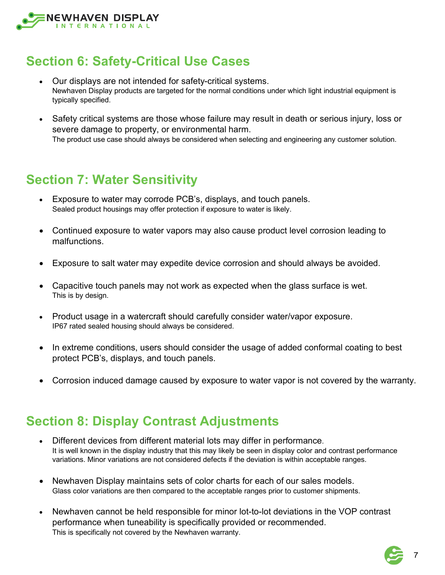

### **Section 6: Safety-Critical Use Cases**

- Our displays are not intended for safety-critical systems. Newhaven Display products are targeted for the normal conditions under which light industrial equipment is typically specified.
- Safety critical systems are those whose failure may result in death or serious injury, loss or severe damage to property, or environmental harm. The product use case should always be considered when selecting and engineering any customer solution.

#### **Section 7: Water Sensitivity**

- Exposure to water may corrode PCB's, displays, and touch panels. Sealed product housings may offer protection if exposure to water is likely.
- Continued exposure to water vapors may also cause product level corrosion leading to malfunctions.
- Exposure to salt water may expedite device corrosion and should always be avoided.
- Capacitive touch panels may not work as expected when the glass surface is wet. This is by design.
- Product usage in a watercraft should carefully consider water/vapor exposure. IP67 rated sealed housing should always be considered.
- In extreme conditions, users should consider the usage of added conformal coating to best protect PCB's, displays, and touch panels.
- Corrosion induced damage caused by exposure to water vapor is not covered by the warranty.

#### **Section 8: Display Contrast Adjustments**

- Different devices from different material lots may differ in performance. It is well known in the display industry that this may likely be seen in display color and contrast performance variations. Minor variations are not considered defects if the deviation is within acceptable ranges.
- Newhaven Display maintains sets of color charts for each of our sales models. Glass color variations are then compared to the acceptable ranges prior to customer shipments.
- Newhaven cannot be held responsible for minor lot-to-lot deviations in the VOP contrast performance when tuneability is specifically provided or recommended. This is specifically not covered by the Newhaven warranty.